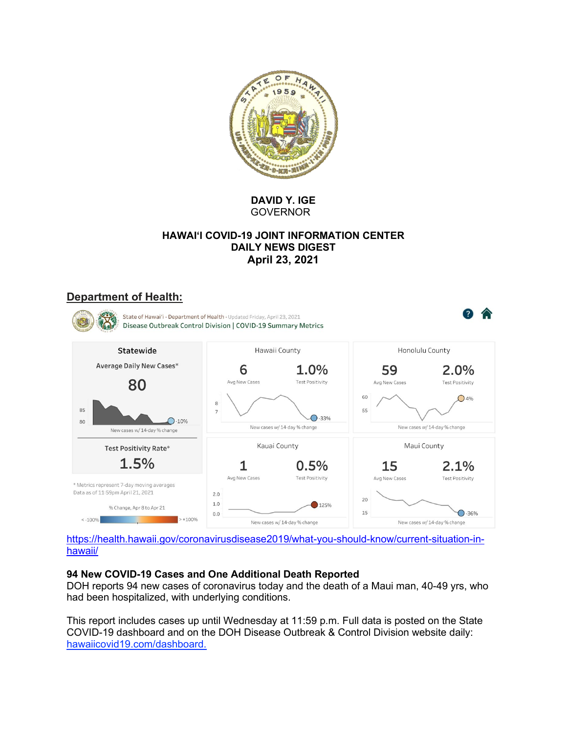

**DAVID Y. IGE GOVERNOR** 

### **HAWAI'I COVID-19 JOINT INFORMATION CENTER DAILY NEWS DIGEST April 23, 2021**

## **Department of Health:**



https://health.hawaii.gov/coronavirusdisease2019/what-you-should-know/current-situation-inhawaii/

#### **94 New COVID-19 Cases and One Additional Death Reported**

DOH reports 94 new cases of coronavirus today and the death of a Maui man, 40-49 yrs, who had been hospitalized, with underlying conditions.

This report includes cases up until Wednesday at 11:59 p.m. Full data is posted on the State COVID-19 dashboard and on the DOH Disease Outbreak & Control Division website daily: hawaiicovid19.com/dashboard.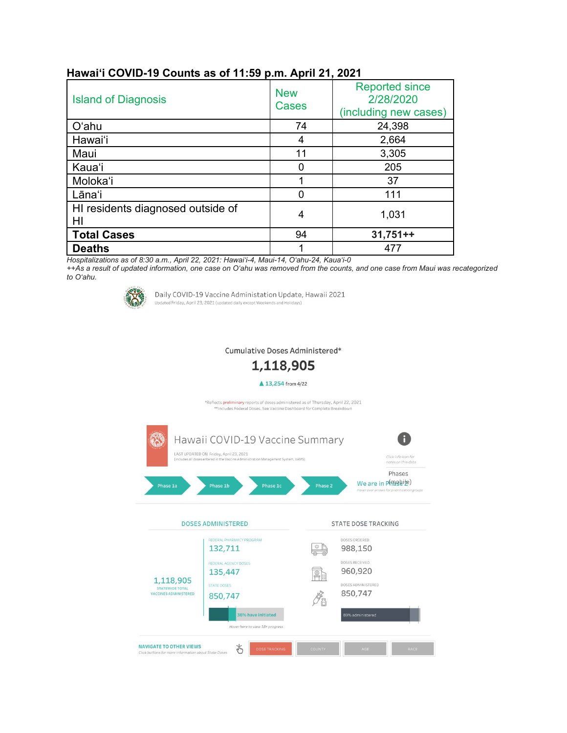| <b>Island of Diagnosis</b>              | <b>New</b><br>Cases | <b>Reported since</b><br>2/28/2020<br>(including new cases) |
|-----------------------------------------|---------------------|-------------------------------------------------------------|
| O'ahu                                   | 74                  | 24,398                                                      |
| Hawai'i                                 | 4                   | 2,664                                                       |
| Maui                                    | 11                  | 3,305                                                       |
| Kaua'i                                  |                     | 205                                                         |
| Moloka'i                                |                     | 37                                                          |
| Lāna'i                                  |                     | 111                                                         |
| HI residents diagnosed outside of<br>HI | 4                   | 1,031                                                       |
| <b>Total Cases</b>                      | 94                  | $31,751++$                                                  |
| <b>Deaths</b>                           |                     | 477                                                         |

## **Hawai'i COVID-19 Counts as of 11:59 p.m. April 21, 2021**

*Hospitalizations as of 8:30 a.m., April 22, 2021: Hawai'i-4, Maui-14, O'ahu-24, Kaua'i-0*

*++As a result of updated information, one case on O'ahu was removed from the counts, and one case from Maui was recategorized to O'ahu.*



Daily COVID-19 Vaccine Administation Update, Hawaii 2021 Updated Friday, April 23, 2021 (updated daily except Weekends and Holidays)

Cumulative Doses Administered\*

1,118,905

#### ▲ 13,254 from 4/22

\*Reflects preliminary reports of doses administered as of Thursday, April 22, 2021<br>\*\*Includes Federal Doses. See Vaccine Dashboard for Complete Breakdown

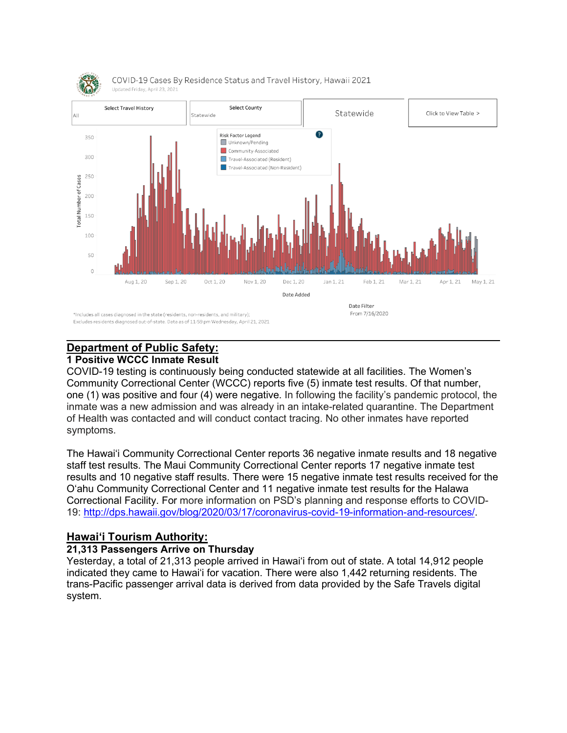

#### **Department of Public Safety: 1 Positive WCCC Inmate Result**

COVID-19 testing is continuously being conducted statewide at all facilities. The Women's Community Correctional Center (WCCC) reports five (5) inmate test results. Of that number, one (1) was positive and four (4) were negative. In following the facility's pandemic protocol, the inmate was a new admission and was already in an intake-related quarantine. The Department of Health was contacted and will conduct contact tracing. No other inmates have reported symptoms.

The Hawai'i Community Correctional Center reports 36 negative inmate results and 18 negative staff test results. The Maui Community Correctional Center reports 17 negative inmate test results and 10 negative staff results. There were 15 negative inmate test results received for the O'ahu Community Correctional Center and 11 negative inmate test results for the Halawa Correctional Facility. For more information on PSD's planning and response efforts to COVID-19: [http://dps.hawaii.gov/blog/2020/03/17/coronavirus-covid-19-information-and-resources/.](http://dps.hawaii.gov/blog/2020/03/17/coronavirus-covid-19-information-and-resources/)

# **Hawaiʻi Tourism Authority:**

#### **21,313 Passengers Arrive on Thursday**

Yesterday, a total of 21,313 people arrived in Hawai'i from out of state. A total 14,912 people indicated they came to Hawai'i for vacation. There were also 1,442 returning residents. The trans-Pacific passenger arrival data is derived from data provided by the Safe Travels digital system.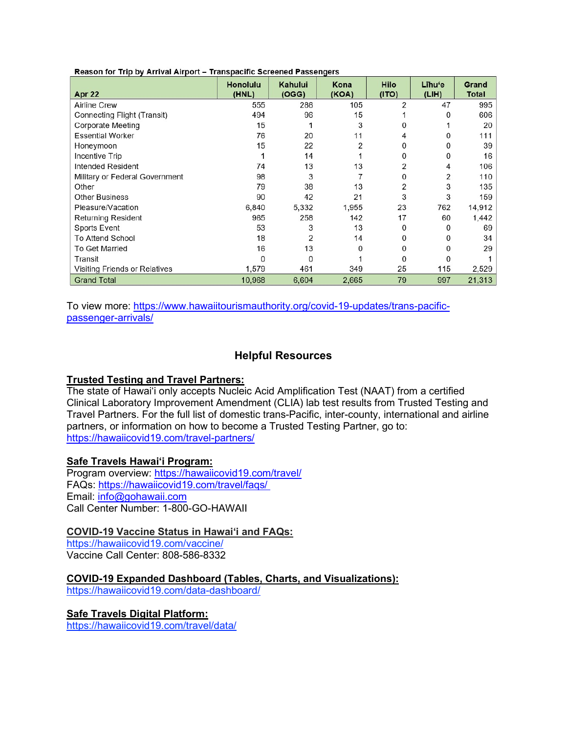|                                | <b>Honolulu</b> | Kahului | Kona  | <b>Hilo</b> | Līhu'e | Grand        |
|--------------------------------|-----------------|---------|-------|-------------|--------|--------------|
| Apr 22                         | (HNL)           | (OGG)   | (KOA) | (1TO)       | (LIH)  | <b>Total</b> |
| <b>Airline Crew</b>            | 555             | 286     | 105   | 2           | 47     | 995          |
| Connecting Flight (Transit)    | 494             | 96      | 15    |             | 0      | 606          |
| <b>Corporate Meeting</b>       | 15              |         | 3     |             |        | 20           |
| <b>Essential Worker</b>        | 76              | 20      | 11    |             | 0      | 111          |
| Honeymoon                      | 15              | 22      | 2     | 0           | 0      | 39           |
| Incentive Trip                 |                 | 14      |       | 0           | 0      | 16           |
| <b>Intended Resident</b>       | 74              | 13      | 13    | 2           | 4      | 106          |
| Military or Federal Government | 98              | 3       |       | 0           | 2      | 110          |
| Other                          | 79              | 38      | 13    | 2           | 3      | 135          |
| <b>Other Business</b>          | 90              | 42      | 21    | 3           | 3      | 159          |
| Pleasure/Vacation              | 6,840           | 5,332   | 1,955 | 23          | 762    | 14,912       |
| <b>Returning Resident</b>      | 965             | 258     | 142   | 17          | 60     | 1,442        |
| <b>Sports Event</b>            | 53              | 3       | 13    | 0           | 0      | 69           |
| <b>To Attend School</b>        | 18              | 2       | 14    | 0           | 0      | 34           |
| <b>To Get Married</b>          | 16              | 13      | O     | 0           | 0      | 29           |
| Transit                        | $\Omega$        | 0       |       | 0           |        |              |
| Visiting Friends or Relatives  | 1,579           | 461     | 349   | 25          | 115    | 2,529        |
| <b>Grand Total</b>             | 10,968          | 6,604   | 2,665 | 79          | 997    | 21,313       |

Reason for Trip by Arrival Airport - Transpacific Screened Passengers

To view more: [https://www.hawaiitourismauthority.org/covid-19-updates/trans-pacific](https://www.hawaiitourismauthority.org/covid-19-updates/trans-pacific-passenger-arrivals/)[passenger-arrivals/](https://www.hawaiitourismauthority.org/covid-19-updates/trans-pacific-passenger-arrivals/)

#### **Helpful Resources**

#### **Trusted Testing and Travel Partners:**

The state of Hawai'i only accepts Nucleic Acid Amplification Test (NAAT) from a certified Clinical Laboratory Improvement Amendment (CLIA) lab test results from Trusted Testing and Travel Partners. For the full list of domestic trans-Pacific, inter-county, international and airline partners, or information on how to become a Trusted Testing Partner, go to: <https://hawaiicovid19.com/travel-partners/>

#### **Safe Travels Hawai'i Program:**

Program overview: <https://hawaiicovid19.com/travel/> FAQs: <https://hawaiicovid19.com/travel/faqs/> Email: [info@gohawaii.com](mailto:info@gohawaii.com) Call Center Number: 1-800-GO-HAWAII

**COVID-19 Vaccine Status in Hawai'i and FAQs:**

<https://hawaiicovid19.com/vaccine/> Vaccine Call Center: 808-586-8332

**COVID-19 Expanded Dashboard (Tables, Charts, and Visualizations):**

<https://hawaiicovid19.com/data-dashboard/>

#### **Safe Travels Digital Platform:**

<https://hawaiicovid19.com/travel/data/>